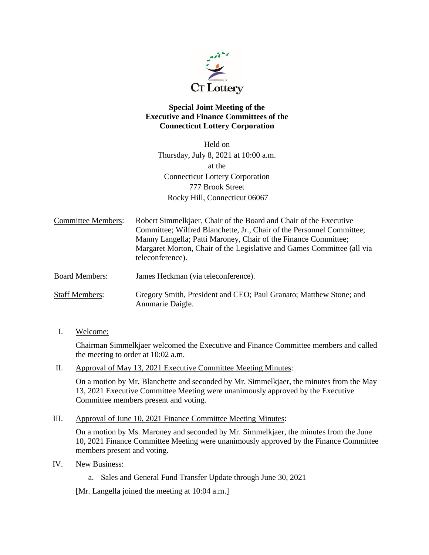

## **Special Joint Meeting of the Executive and Finance Committees of the Connecticut Lottery Corporation**

Held on Thursday, July 8, 2021 at 10:00 a.m. at the Connecticut Lottery Corporation 777 Brook Street Rocky Hill, Connecticut 06067

Committee Members: Robert Simmelkjaer, Chair of the Board and Chair of the Executive Committee; Wilfred Blanchette, Jr., Chair of the Personnel Committee; Manny Langella; Patti Maroney, Chair of the Finance Committee; Margaret Morton, Chair of the Legislative and Games Committee (all via teleconference).

Board Members: James Heckman (via teleconference).

- Staff Members: Gregory Smith, President and CEO; Paul Granato; Matthew Stone; and Annmarie Daigle.
- I. Welcome:

Chairman Simmelkjaer welcomed the Executive and Finance Committee members and called the meeting to order at 10:02 a.m.

II. Approval of May 13, 2021 Executive Committee Meeting Minutes:

On a motion by Mr. Blanchette and seconded by Mr. Simmelkjaer, the minutes from the May 13, 2021 Executive Committee Meeting were unanimously approved by the Executive Committee members present and voting.

III. Approval of June 10, 2021 Finance Committee Meeting Minutes:

On a motion by Ms. Maroney and seconded by Mr. Simmelkjaer, the minutes from the June 10, 2021 Finance Committee Meeting were unanimously approved by the Finance Committee members present and voting.

- IV. New Business:
	- a. Sales and General Fund Transfer Update through June 30, 2021

[Mr. Langella joined the meeting at 10:04 a.m.]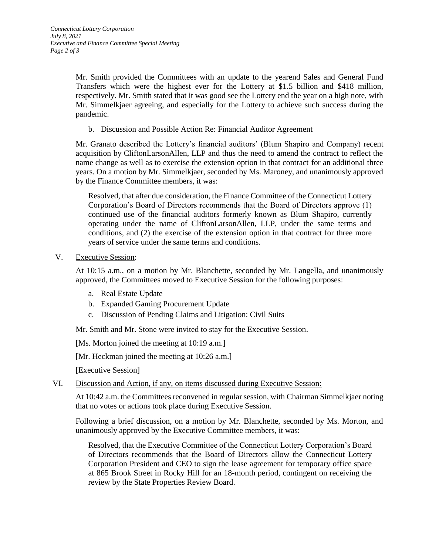Mr. Smith provided the Committees with an update to the yearend Sales and General Fund Transfers which were the highest ever for the Lottery at \$1.5 billion and \$418 million, respectively. Mr. Smith stated that it was good see the Lottery end the year on a high note, with Mr. Simmelkjaer agreeing, and especially for the Lottery to achieve such success during the pandemic.

b. Discussion and Possible Action Re: Financial Auditor Agreement

Mr. Granato described the Lottery's financial auditors' (Blum Shapiro and Company) recent acquisition by CliftonLarsonAllen, LLP and thus the need to amend the contract to reflect the name change as well as to exercise the extension option in that contract for an additional three years. On a motion by Mr. Simmelkjaer, seconded by Ms. Maroney, and unanimously approved by the Finance Committee members, it was:

Resolved, that after due consideration, the Finance Committee of the Connecticut Lottery Corporation's Board of Directors recommends that the Board of Directors approve (1) continued use of the financial auditors formerly known as Blum Shapiro, currently operating under the name of CliftonLarsonAllen, LLP, under the same terms and conditions, and (2) the exercise of the extension option in that contract for three more years of service under the same terms and conditions.

V. Executive Session:

At 10:15 a.m., on a motion by Mr. Blanchette, seconded by Mr. Langella, and unanimously approved, the Committees moved to Executive Session for the following purposes:

- a. Real Estate Update
- b. Expanded Gaming Procurement Update
- c. Discussion of Pending Claims and Litigation: Civil Suits

Mr. Smith and Mr. Stone were invited to stay for the Executive Session.

[Ms. Morton joined the meeting at 10:19 a.m.]

[Mr. Heckman joined the meeting at 10:26 a.m.]

[Executive Session]

VI. Discussion and Action, if any, on items discussed during Executive Session:

At 10:42 a.m. the Committees reconvened in regular session, with Chairman Simmelkjaer noting that no votes or actions took place during Executive Session.

Following a brief discussion, on a motion by Mr. Blanchette, seconded by Ms. Morton, and unanimously approved by the Executive Committee members, it was:

Resolved, that the Executive Committee of the Connecticut Lottery Corporation's Board of Directors recommends that the Board of Directors allow the Connecticut Lottery Corporation President and CEO to sign the lease agreement for temporary office space at 865 Brook Street in Rocky Hill for an 18-month period, contingent on receiving the review by the State Properties Review Board.